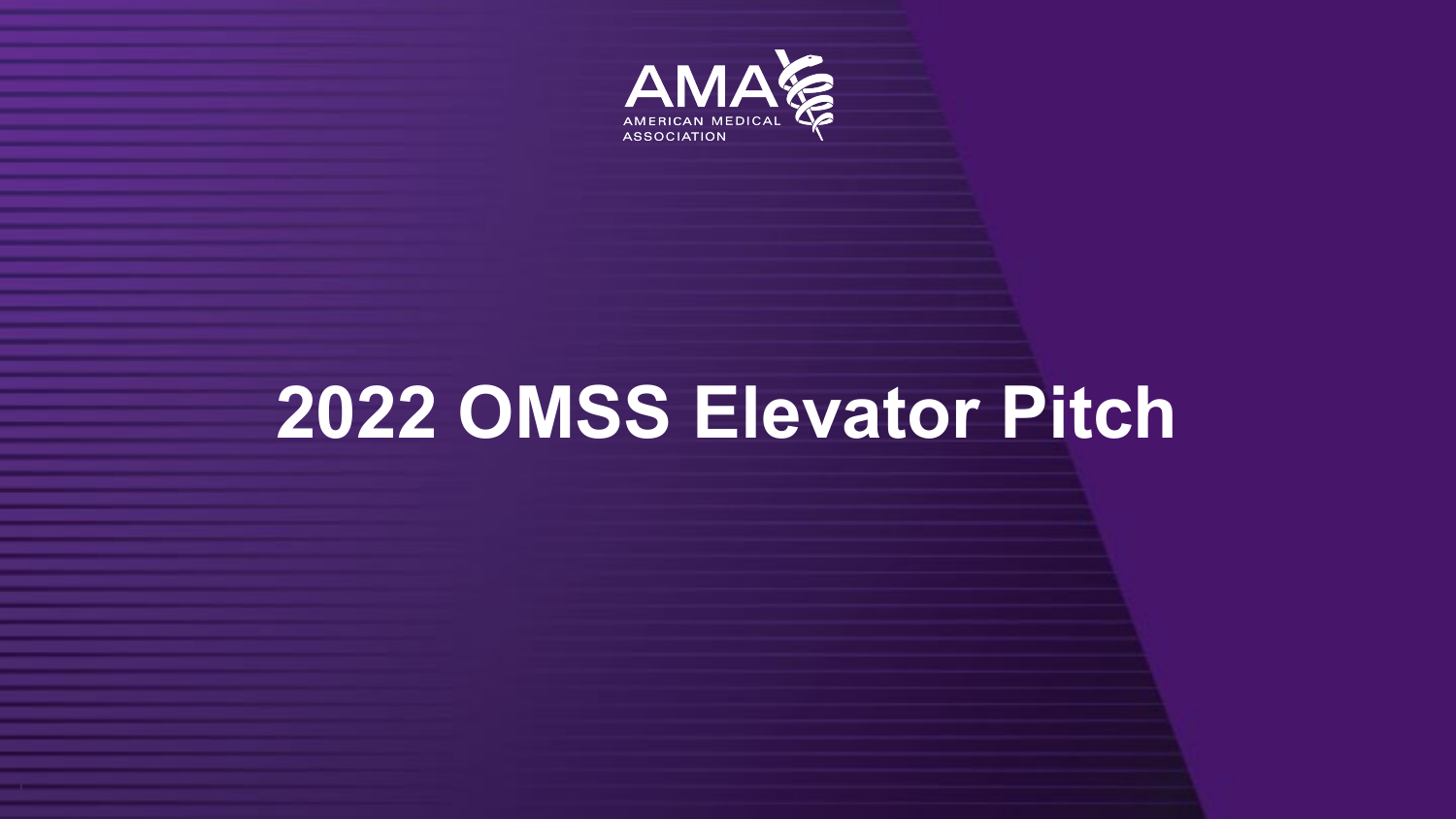

# **2022 OMSS Elevator Pitch**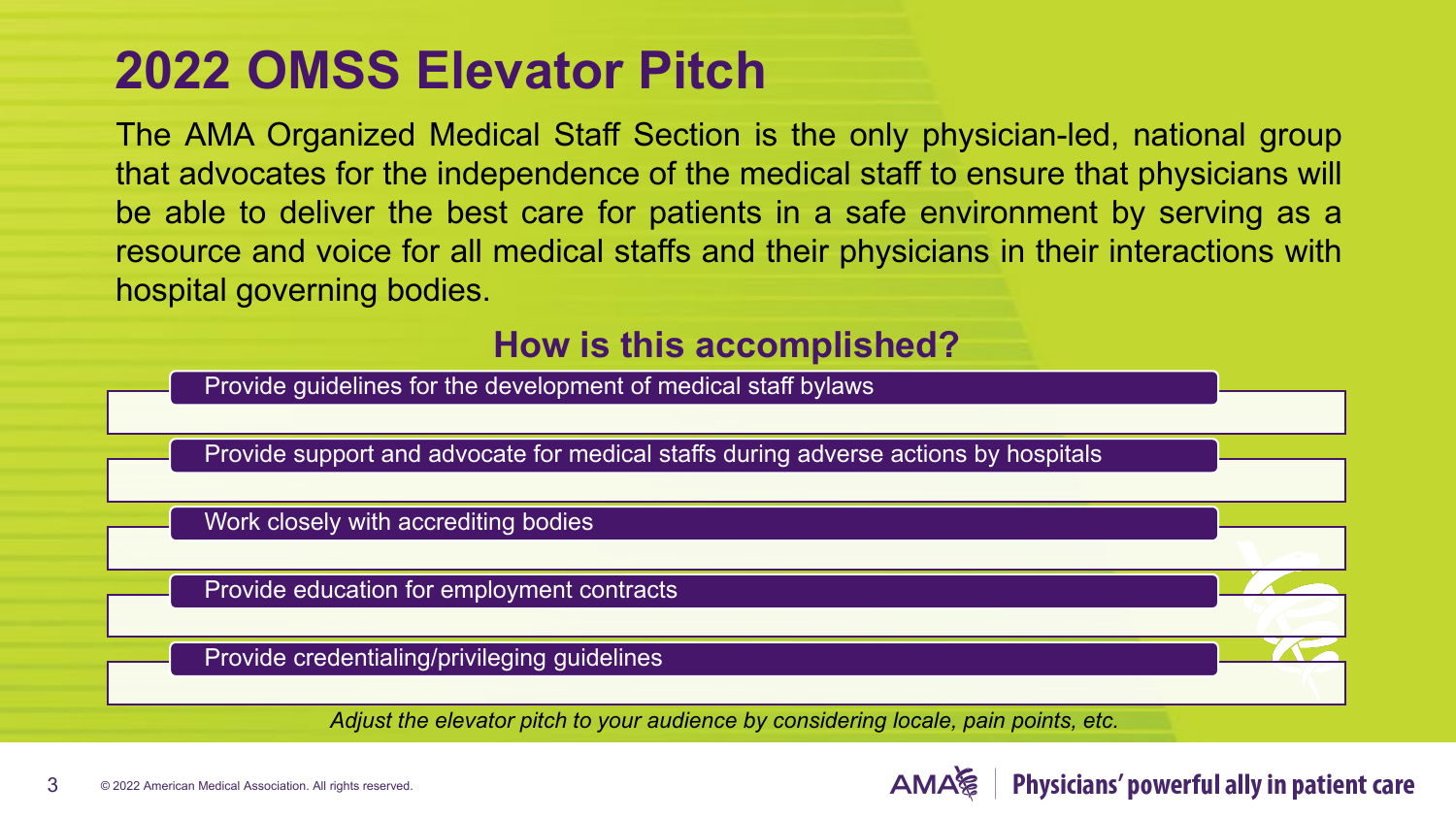### **2022 OMSS Elevator Pitch**

The AMA Organized Medical Staff Section is the only physician-led, national group that advocates for the independence of the medical staff to ensure that physicians will be able to deliver the best care for patients in a safe environment by serving as a resource and voice for all medical staffs and their physicians in their interactions with hospital governing bodies.

#### **How is this accomplished?**

Provide guidelines for the development of medical staff bylaws Provide support and advocate for medical staffs during adverse actions by hospitals Work closely with accrediting bodies Provide education for employment contracts Provide credentialing/privileging guidelines *Adjust the elevator pitch to your audience by considering locale, pain points, etc.*

Physicians' powerful ally in patient care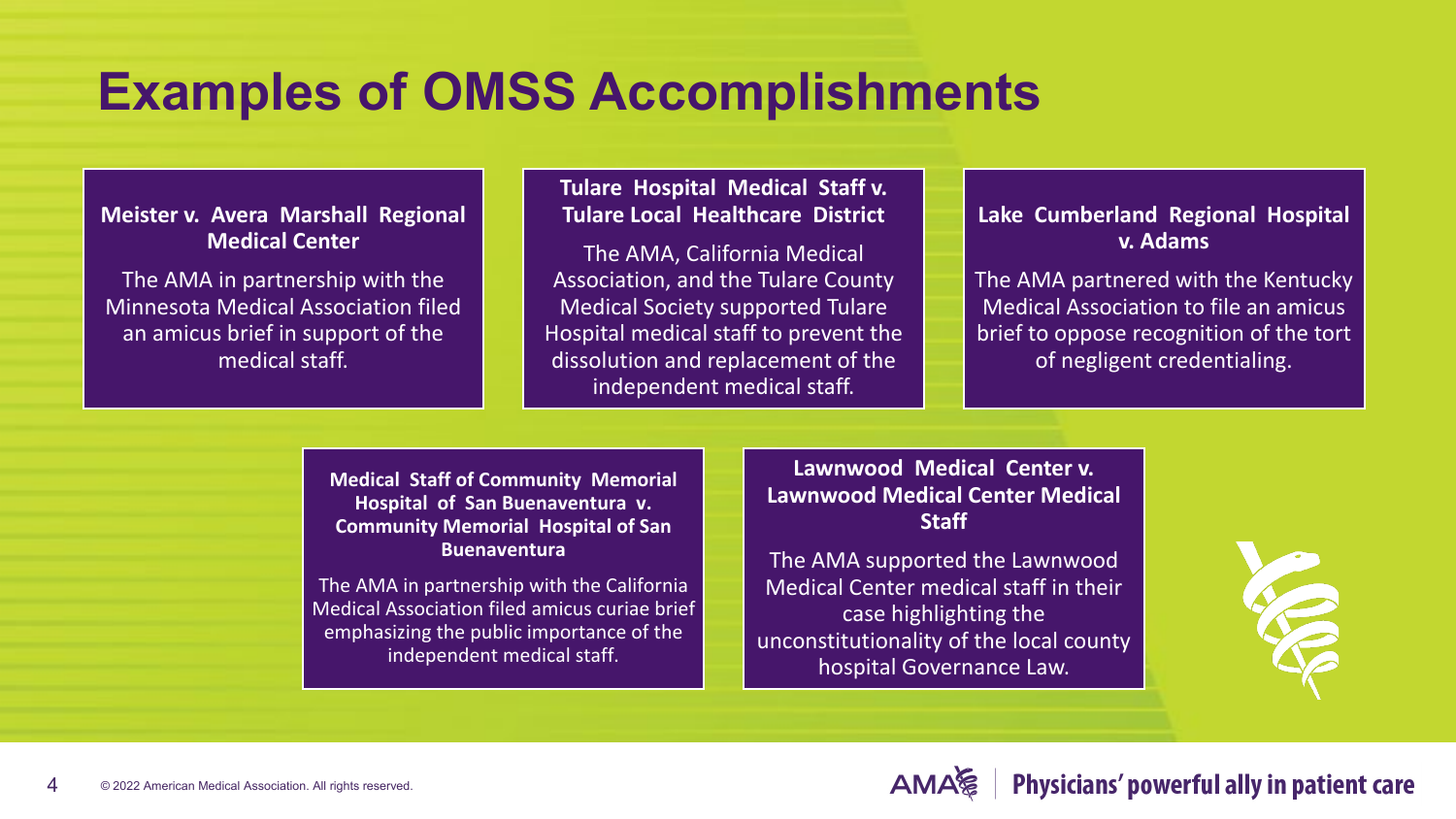#### **Examples of OMSS Accomplishments**

**Meister v. Avera Marshall Regional Medical Center**

The AMA in partnership with the Minnesota Medical Association filed an amicus brief in support of the medical staff.

#### **Tulare Hospital Medical Staff v. Tulare Local Healthcare District**

The AMA, California Medical Association, and the Tulare County Medical Society supported Tulare Hospital medical staff to prevent the dissolution and replacement of the independent medical staff.

**Lake Cumberland Regional Hospital v. Adams**

The AMA partnered with the Kentucky Medical Association to file an amicus brief to oppose recognition of the tort of negligent credentialing.

**Medical Staff of Community Memorial Hospital of San Buenaventura v. Community Memorial Hospital of San Buenaventura** 

The AMA in partnership with the California Medical Association filed amicus curiae brief emphasizing the public importance of the independent medical staff.

**Lawnwood Medical Center v. Lawnwood Medical Center Medical Staff**

The AMA supported the Lawnwood Medical Center medical staff in their case highlighting the unconstitutionality of the local county hospital Governance Law.